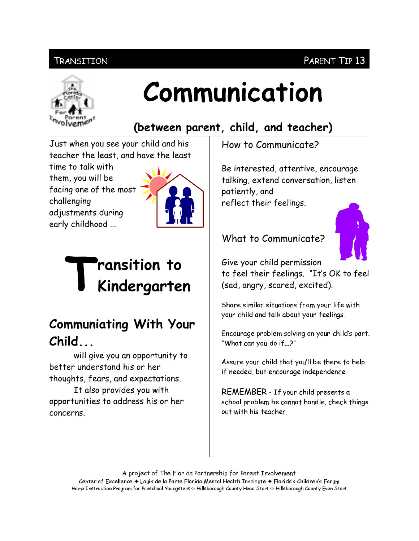#### Transition

# Communication

### (between parent, child, and teacher)

Just when you see your child and his teacher the least, and have the least

time to talk with them, you will be facing one of the most challenging adjustments during early childhood ...



# ransition to Kindergarten

# **Communiating With Your**  $Child...$

will give you an opportunity to better understand his or her thoughts, fears, and expectations.

It also provides you with opportunities to address his or her concerns.

How to Communicate?

Be interested, attentive, encourage talking, extend conversation, listen patiently, and reflect their feelings.

#### What to Communicate?



Give your child permission

to feel their feelings. "It's OK to feel (sad, angry, scared, excited).

Share similar situations from your life with your child and talk about your feelings.

Encourage problem solving on your child's part. "What can you do if...?"

Assure your child that you'll be there to help if needed, but encourage independence.

REMEMBER - If your child presents a school problem he cannot handle, check things out with his teacher

A project of The Florida Partnership for Parent Involvement Center of Excellence ♦ Louis de la Parte Florida Mental Health Institute ♦ Florida's Children's Forum Home Instruction Program for Preschool Youngsters & Hillsborough County Head Start & Hillsborough County Even Start

#### PARENT TIP 13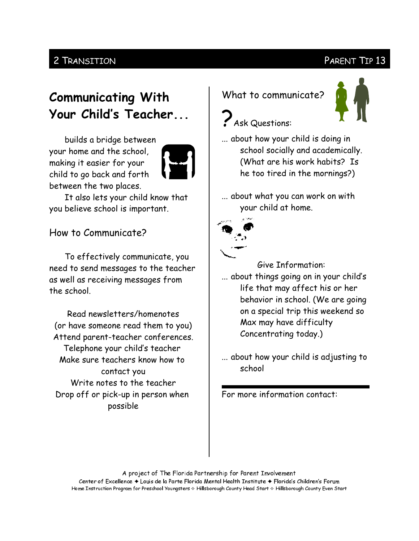#### 2 TRANSITION

#### PARENT TIP 13

## **Communicating With** Your Child's Teacher...

builds a bridge between your home and the school, making it easier for your child to go back and forth between the two places.



It also lets your child know that you believe school is important.

#### How to Communicate?

To effectively communicate, you need to send messages to the teacher as well as receiving messages from the school.

Read newsletters/homenotes (or have someone read them to you) Attend parent-teacher conferences. Telephone your child's teacher Make sure teachers know how to contact you Write notes to the teacher Drop off or pick-up in person when possible

What to communicate?



# **P** Ask Questions:

- ... about how your child is doing in school socially and academically. (What are his work habits? Is he too tired in the mornings?)
- ... about what you can work on with your child at home.



#### Give Information:

... about things going on in your child's life that may affect his or her behavior in school. (We are going on a special trip this weekend so Max may have difficulty Concentrating today.)

... about how your child is adjusting to school

For more information contact:

A project of The Florida Partnership for Parent Involvement Center of Excellence ♦ Louis de la Parte Florida Mental Health Institute ♦ Florida's Children's Forum

Home Instruction Program for Preschool Youngsters & Hillsborough County Head Start & Hillsborough County Even Start